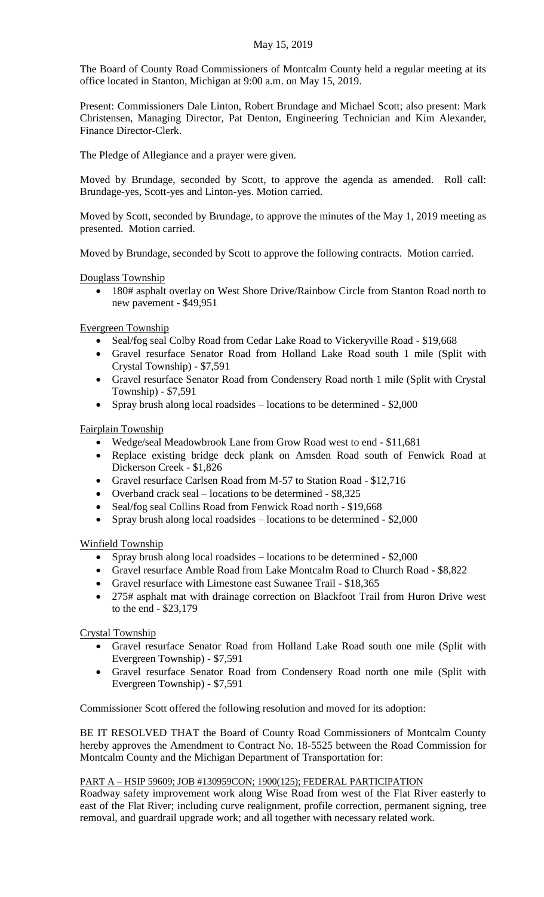## May 15, 2019

The Board of County Road Commissioners of Montcalm County held a regular meeting at its office located in Stanton, Michigan at 9:00 a.m. on May 15, 2019.

Present: Commissioners Dale Linton, Robert Brundage and Michael Scott; also present: Mark Christensen, Managing Director, Pat Denton, Engineering Technician and Kim Alexander, Finance Director-Clerk.

The Pledge of Allegiance and a prayer were given.

Moved by Brundage, seconded by Scott, to approve the agenda as amended. Roll call: Brundage-yes, Scott-yes and Linton-yes. Motion carried.

Moved by Scott, seconded by Brundage, to approve the minutes of the May 1, 2019 meeting as presented. Motion carried.

Moved by Brundage, seconded by Scott to approve the following contracts. Motion carried.

Douglass Township

• 180# asphalt overlay on West Shore Drive/Rainbow Circle from Stanton Road north to new pavement - \$49,951

Evergreen Township

- Seal/fog seal Colby Road from Cedar Lake Road to Vickeryville Road \$19,668
- Gravel resurface Senator Road from Holland Lake Road south 1 mile (Split with Crystal Township) - \$7,591
- Gravel resurface Senator Road from Condensery Road north 1 mile (Split with Crystal Township) - \$7,591
- Spray brush along local roadsides locations to be determined \$2,000

Fairplain Township

- Wedge/seal Meadowbrook Lane from Grow Road west to end \$11,681
- Replace existing bridge deck plank on Amsden Road south of Fenwick Road at Dickerson Creek - \$1,826
- Gravel resurface Carlsen Road from M-57 to Station Road \$12,716
- Overband crack seal locations to be determined \$8,325
- Seal/fog seal Collins Road from Fenwick Road north \$19,668
- Spray brush along local roadsides locations to be determined \$2,000

Winfield Township

- Spray brush along local roadsides locations to be determined \$2,000
- Gravel resurface Amble Road from Lake Montcalm Road to Church Road \$8,822
- Gravel resurface with Limestone east Suwanee Trail \$18,365
- 275# asphalt mat with drainage correction on Blackfoot Trail from Huron Drive west to the end - \$23,179

Crystal Township

- Gravel resurface Senator Road from Holland Lake Road south one mile (Split with Evergreen Township) - \$7,591
- Gravel resurface Senator Road from Condensery Road north one mile (Split with Evergreen Township) - \$7,591

Commissioner Scott offered the following resolution and moved for its adoption:

BE IT RESOLVED THAT the Board of County Road Commissioners of Montcalm County hereby approves the Amendment to Contract No. 18-5525 between the Road Commission for Montcalm County and the Michigan Department of Transportation for:

## PART A – HSIP 59609; JOB #130959CON; 1900(125); FEDERAL PARTICIPATION

Roadway safety improvement work along Wise Road from west of the Flat River easterly to east of the Flat River; including curve realignment, profile correction, permanent signing, tree removal, and guardrail upgrade work; and all together with necessary related work.